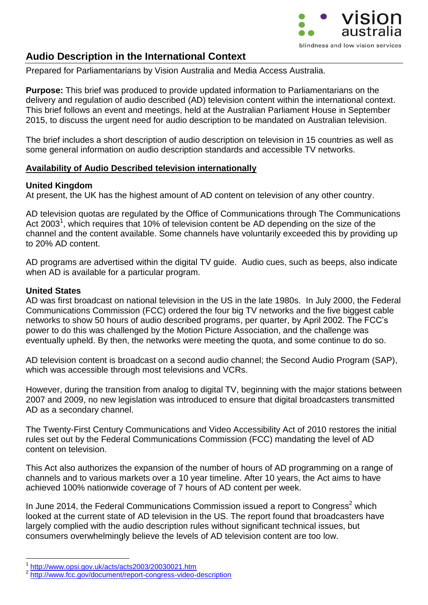

# **Audio Description in the International Context**

Prepared for Parliamentarians by Vision Australia and Media Access Australia.

**Purpose:** This brief was produced to provide updated information to Parliamentarians on the delivery and regulation of audio described (AD) television content within the international context. This brief follows an event and meetings, held at the Australian Parliament House in September 2015, to discuss the urgent need for audio description to be mandated on Australian television.

The brief includes a short description of audio description on television in 15 countries as well as some general information on audio description standards and accessible TV networks.

### **Availability of Audio Described television internationally**

### **United Kingdom**

At present, the UK has the highest amount of AD content on television of any other country.

AD television quotas are regulated by the Office of Communications through The Communications Act 2003<sup>1</sup>, which requires that 10% of television content be AD depending on the size of the channel and the content available. Some channels have voluntarily exceeded this by providing up to 20% AD content.

AD programs are advertised within the digital TV guide. Audio cues, such as beeps, also indicate when AD is available for a particular program.

### **United States**

<u>.</u>

AD was first broadcast on national television in the US in the late 1980s. In July 2000, the Federal Communications Commission (FCC) ordered the four big TV networks and the five biggest cable networks to show 50 hours of audio described programs, per quarter, by April 2002. The FCC's power to do this was challenged by the Motion Picture Association, and the challenge was eventually upheld. By then, the networks were meeting the quota, and some continue to do so.

AD television content is broadcast on a second audio channel; the Second Audio Program (SAP), which was accessible through most televisions and VCRs.

However, during the transition from analog to digital TV, beginning with the major stations between 2007 and 2009, no new legislation was introduced to ensure that digital broadcasters transmitted AD as a secondary channel.

The [Twenty-First Century Communications and Video Accessibility Act of 2010](http://www.govtrack.us/congress/bill.xpd?bill=s111-3304) restores the initial rules set out by the Federal Communications Commission (FCC) mandating the level of AD content on television.

This Act also authorizes the expansion of the number of hours of AD programming on a range of channels and to various markets over a 10 year timeline. After 10 years, the Act aims to have achieved 100% nationwide coverage of 7 hours of AD content per week.

In June 2014, the Federal Communications Commission issued a report to Congress<sup>2</sup> which looked at the current state of AD television in the US. The report found that broadcasters have largely complied with the audio description rules without significant technical issues, but consumers overwhelmingly believe the levels of AD television content are too low.

<sup>1</sup> <http://www.opsi.gov.uk/acts/acts2003/20030021.htm>

<sup>2</sup> <http://www.fcc.gov/document/report-congress-video-description>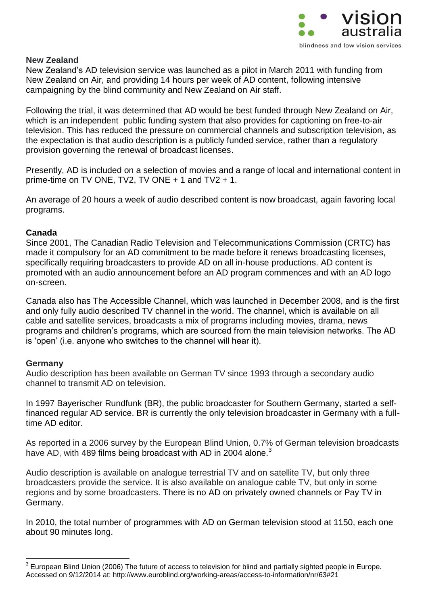

### **New Zealand**

New Zealand's AD television service was launched as a pilot in March 2011 with funding from New Zealand on Air, and providing 14 hours per week of AD content, following intensive campaigning by the blind community and New Zealand on Air staff.

Following the trial, it was determined that AD would be best funded through New Zealand on Air, which is an independent public funding system that also provides for captioning on free-to-air television. This has reduced the pressure on commercial channels and subscription television, as the expectation is that audio description is a publicly funded service, rather than a regulatory provision governing the renewal of broadcast licenses.

Presently, AD is included on a selection of movies and a range of local and international content in prime-time on TV ONE, TV2, TV ONE + 1 and TV2 + 1.

An average of 20 hours a week of audio described content is now broadcast, again favoring local programs.

## **Canada**

Since 2001, The Canadian Radio Television and Telecommunications Commission (CRTC) has made it compulsory for an AD commitment to be made before it renews broadcasting licenses, specifically requiring broadcasters to provide AD on all in-house productions. AD content is promoted with an audio announcement before an AD program commences and with an AD logo on-screen.

Canada also has The Accessible Channel, which was launched in December 2008, and is the first and only fully audio described TV channel in the world. The channel, which is available on all cable and satellite services, broadcasts a mix of programs including movies, drama, news programs and children's programs, which are sourced from the main television networks. The AD is 'open' (i.e. anyone who switches to the channel will hear it).

## **Germany**

<u>.</u>

Audio description has been available on German TV since 1993 through a secondary audio channel to transmit AD on television.

In 1997 Bayerischer Rundfunk (BR), the public broadcaster for Southern Germany, started a selffinanced regular AD service. BR is currently the only television broadcaster in Germany with a fulltime AD editor.

As reported in a 2006 survey by the European Blind Union, 0.7% of German television broadcasts have AD, with 489 films being broadcast with AD in 2004 alone.<sup>3</sup>

Audio description is available on analogue terrestrial TV and on satellite TV, but only three broadcasters provide the service. It is also available on analogue cable TV, but only in some regions and by some broadcasters. There is no AD on privately owned channels or Pay TV in Germany.

In 2010, the total number of programmes with AD on German television stood at 1150, each one about 90 minutes long.

 $3$  European Blind Union (2006) The future of access to television for blind and partially sighted people in Europe. Accessed on 9/12/2014 at: http://www.euroblind.org/working-areas/access-to-information/nr/63#21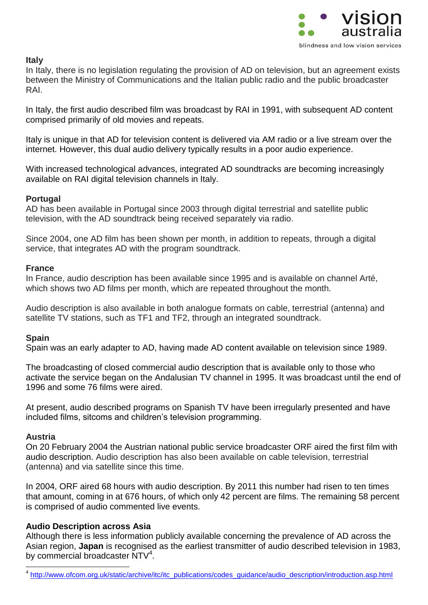

## **Italy**

In Italy, there is no legislation regulating the provision of AD on television, but an agreement exists between the Ministry of Communications and the Italian public radio and the public broadcaster RAI.

In Italy, the first audio described film was broadcast by RAI in 1991, with subsequent AD content comprised primarily of old movies and repeats.

Italy is unique in that AD for television content is delivered via AM radio or a live stream over the internet. However, this dual audio delivery typically results in a poor audio experience.

With increased technological advances, integrated AD soundtracks are becoming increasingly available on RAI digital television channels in Italy.

### **Portugal**

AD has been available in Portugal since 2003 through digital terrestrial and satellite public television, with the AD soundtrack being received separately via radio.

Since 2004, one AD film has been shown per month, in addition to repeats, through a digital service, that integrates AD with the program soundtrack.

### **France**

In France, audio description has been available since 1995 and is available on channel Arté, which shows two AD films per month, which are repeated throughout the month.

Audio description is also available in both analogue formats on cable, terrestrial (antenna) and satellite TV stations, such as TF1 and TF2, through an integrated soundtrack.

## **Spain**

Spain was an early adapter to AD, having made AD content available on television since 1989.

The broadcasting of closed commercial audio description that is available only to those who activate the service began on the Andalusian TV channel in 1995. It was broadcast until the end of 1996 and some 76 films were aired.

At present, audio described programs on Spanish TV have been irregularly presented and have included films, sitcoms and children's television programming.

## **Austria**

1

On 20 February 2004 the Austrian national public service broadcaster ORF aired the first film with audio description. Audio description has also been available on cable television, terrestrial (antenna) and via satellite since this time.

In 2004, ORF aired 68 hours with audio description. By 2011 this number had risen to ten times that amount, coming in at 676 hours, of which only 42 percent are films. The remaining 58 percent is comprised of audio commented live events.

## **Audio Description across Asia**

Although there is less information publicly available concerning the prevalence of AD across the Asian region, **Japan** is recognised as the earliest transmitter of audio described television in 1983, by commercial broadcaster NTV<sup>4</sup>.

4 http://www.ofcom.org.uk/static/archive/itc/itc\_publications/codes\_guidance/audio\_description/introduction.asp.html